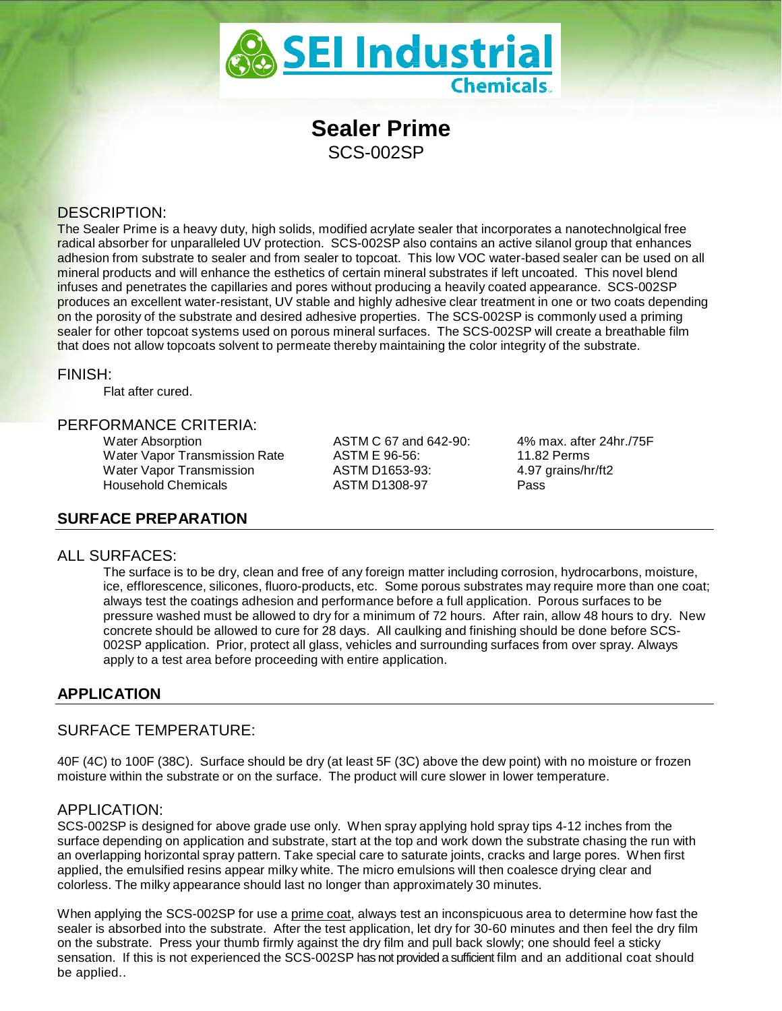

# **Sealer Prime** SCS-002SP

# DESCRIPTION:

The Sealer Prime is a heavy duty, high solids, modified acrylate sealer that incorporates a nanotechnolgical free radical absorber for unparalleled UV protection. SCS-002SP also contains an active silanol group that enhances adhesion from substrate to sealer and from sealer to topcoat. This low VOC water-based sealer can be used on all mineral products and will enhance the esthetics of certain mineral substrates if left uncoated. This novel blend infuses and penetrates the capillaries and pores without producing a heavily coated appearance. SCS-002SP produces an excellent water-resistant, UV stable and highly adhesive clear treatment in one or two coats depending on the porosity of the substrate and desired adhesive properties. The SCS-002SP is commonly used a priming sealer for other topcoat systems used on porous mineral surfaces. The SCS-002SP will create a breathable film that does not allow topcoats solvent to permeate thereby maintaining the color integrity of the substrate.

#### FINISH:

Flat after cured.

# PERFORMANCE CRITERIA:

Water Absorption **ASTM C 67 and 642-90:** 4% max. after 24hr./75F Water Vapor Transmission Rate ASTM E 96-56: 11.82 Perms<br>
Water Vapor Transmission ASTM D1653-93: 4.97 grains/hr/ft2 Water Vapor Transmission Household Chemicals ASTM D1308-97 Pass

# **SURFACE PREPARATION**

#### ALL SURFACES:

The surface is to be dry, clean and free of any foreign matter including corrosion, hydrocarbons, moisture, ice, efflorescence, silicones, fluoro-products, etc. Some porous substrates may require more than one coat; always test the coatings adhesion and performance before a full application. Porous surfaces to be pressure washed must be allowed to dry for a minimum of 72 hours. After rain, allow 48 hours to dry. New concrete should be allowed to cure for 28 days. All caulking and finishing should be done before SCS-002SP application. Prior, protect all glass, vehicles and surrounding surfaces from over spray. Always apply to a test area before proceeding with entire application.

# **APPLICATION**

## SURFACE TEMPERATURE:

40F (4C) to 100F (38C). Surface should be dry (at least 5F (3C) above the dew point) with no moisture or frozen moisture within the substrate or on the surface. The product will cure slower in lower temperature.

## APPLICATION:

SCS-002SP is designed for above grade use only. When spray applying hold spray tips 4-12 inches from the surface depending on application and substrate, start at the top and work down the substrate chasing the run with an overlapping horizontal spray pattern. Take special care to saturate joints, cracks and large pores. When first applied, the emulsified resins appear milky white. The micro emulsions will then coalesce drying clear and colorless. The milky appearance should last no longer than approximately 30 minutes.

When applying the SCS-002SP for use a prime coat, always test an inconspicuous area to determine how fast the sealer is absorbed into the substrate. After the test application, let dry for 30-60 minutes and then feel the dry film on the substrate. Press your thumb firmly against the dry film and pull back slowly; one should feel a sticky sensation. If this is not experienced the SCS-002SP has not provided a sufficient film and an additional coat should be applied..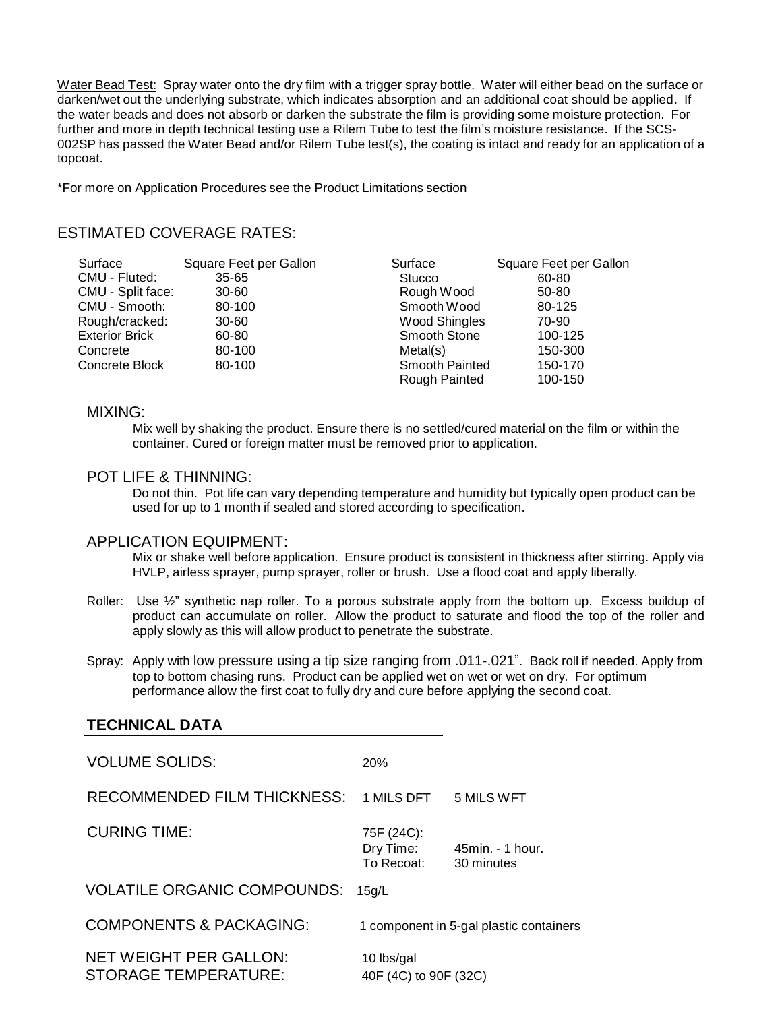Water Bead Test: Spray water onto the dry film with a trigger spray bottle. Water will either bead on the surface or darken/wet out the underlying substrate, which indicates absorption and an additional coat should be applied. If the water beads and does not absorb or darken the substrate the film is providing some moisture protection. For further and more in depth technical testing use a Rilem Tube to test the film's moisture resistance. If the SCS-002SP has passed the Water Bead and/or Rilem Tube test(s), the coating is intact and ready for an application of a topcoat.

\*For more on Application Procedures see the Product Limitations section

# ESTIMATED COVERAGE RATES:

| Surface               | Square Feet per Gallon | Surface               | Square Feet per Gallon |
|-----------------------|------------------------|-----------------------|------------------------|
| CMU - Fluted:         | $35 - 65$              | Stucco                | 60-80                  |
| CMU - Split face:     | $30 - 60$              | Rough Wood            | 50-80                  |
| CMU - Smooth:         | 80-100                 | Smooth Wood           | 80-125                 |
| Rough/cracked:        | $30 - 60$              | Wood Shingles         | 70-90                  |
| <b>Exterior Brick</b> | 60-80                  | <b>Smooth Stone</b>   | 100-125                |
| Concrete              | 80-100                 | Metal(s)              | 150-300                |
| Concrete Block        | 80-100                 | <b>Smooth Painted</b> | 150-170                |
|                       |                        | Rough Painted         | 100-150                |

#### MIXING:

Mix well by shaking the product. Ensure there is no settled/cured material on the film or within the container. Cured or foreign matter must be removed prior to application.

## POT LIFE & THINNING:

Do not thin. Pot life can vary depending temperature and humidity but typically open product can be used for up to 1 month if sealed and stored according to specification.

## APPLICATION EQUIPMENT:

Mix or shake well before application. Ensure product is consistent in thickness after stirring. Apply via HVLP, airless sprayer, pump sprayer, roller or brush. Use a flood coat and apply liberally.

- Roller: Use  $\frac{1}{2}$ " synthetic nap roller. To a porous substrate apply from the bottom up. Excess buildup of product can accumulate on roller. Allow the product to saturate and flood the top of the roller and apply slowly as this will allow product to penetrate the substrate.
- Spray: Apply with low pressure using a tip size ranging from .011-.021". Back roll if needed. Apply from top to bottom chasing runs. Product can be applied wet on wet or wet on dry. For optimum performance allow the first coat to fully dry and cure before applying the second coat.

# **TECHNICAL DATA**

| <b>VOLUME SOLIDS:</b>                                        | <b>20%</b>                          |                                          |
|--------------------------------------------------------------|-------------------------------------|------------------------------------------|
| <b>RECOMMENDED FILM THICKNESS:</b>                           | 1 MILS DFT 5 MILS WFT               |                                          |
| <b>CURING TIME:</b>                                          | 75F (24C):<br>To Recoat:            | Dry Time: 45min. - 1 hour.<br>30 minutes |
| <b>VOLATILE ORGANIC COMPOUNDS:</b>                           | 15g/L                               |                                          |
| <b>COMPONENTS &amp; PACKAGING:</b>                           |                                     | 1 component in 5-gal plastic containers  |
| <b>NET WEIGHT PER GALLON:</b><br><b>STORAGE TEMPERATURE:</b> | 10 lbs/gal<br>40F (4C) to 90F (32C) |                                          |